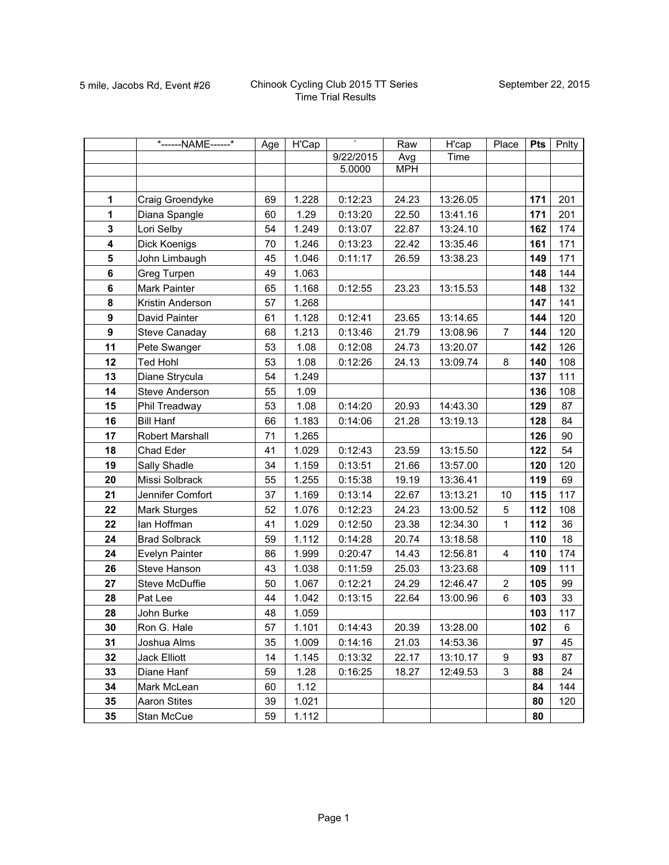|                  | *------NAME------*   | Age | H'Cap |           | Raw        | H'cap    | Place          | <b>Pts</b> | Pnlty |
|------------------|----------------------|-----|-------|-----------|------------|----------|----------------|------------|-------|
|                  |                      |     |       | 9/22/2015 | Avg        | Time     |                |            |       |
|                  |                      |     |       | 5.0000    | <b>MPH</b> |          |                |            |       |
|                  |                      |     |       |           |            |          |                |            |       |
| 1                | Craig Groendyke      | 69  | 1.228 | 0:12:23   | 24.23      | 13:26.05 |                | 171        | 201   |
| $\mathbf{1}$     | Diana Spangle        | 60  | 1.29  | 0:13:20   | 22.50      | 13:41.16 |                | 171        | 201   |
| 3                | Lori Selby           | 54  | 1.249 | 0:13:07   | 22.87      | 13:24.10 |                | 162        | 174   |
| 4                | Dick Koenigs         | 70  | 1.246 | 0:13:23   | 22.42      | 13:35.46 |                | 161        | 171   |
| 5                | John Limbaugh        | 45  | 1.046 | 0:11:17   | 26.59      | 13:38.23 |                | 149        | 171   |
| $\bf 6$          | Greg Turpen          | 49  | 1.063 |           |            |          |                | 148        | 144   |
| 6                | Mark Painter         | 65  | 1.168 | 0:12:55   | 23.23      | 13:15.53 |                | 148        | 132   |
| 8                | Kristin Anderson     | 57  | 1.268 |           |            |          |                | 147        | 141   |
| 9                | David Painter        | 61  | 1.128 | 0:12:41   | 23.65      | 13:14.65 |                | 144        | 120   |
| $\boldsymbol{9}$ | Steve Canaday        | 68  | 1.213 | 0:13:46   | 21.79      | 13:08.96 | $\overline{7}$ | 144        | 120   |
| 11               | Pete Swanger         | 53  | 1.08  | 0:12:08   | 24.73      | 13:20.07 |                | 142        | 126   |
| 12               | <b>Ted Hohl</b>      | 53  | 1.08  | 0:12:26   | 24.13      | 13:09.74 | 8              | 140        | 108   |
| 13               | Diane Strycula       | 54  | 1.249 |           |            |          |                | 137        | 111   |
| 14               | Steve Anderson       | 55  | 1.09  |           |            |          |                | 136        | 108   |
| 15               | Phil Treadway        | 53  | 1.08  | 0:14:20   | 20.93      | 14:43.30 |                | 129        | 87    |
| 16               | <b>Bill Hanf</b>     | 66  | 1.183 | 0:14:06   | 21.28      | 13:19.13 |                | 128        | 84    |
| 17               | Robert Marshall      | 71  | 1.265 |           |            |          |                | 126        | 90    |
| 18               | Chad Eder            | 41  | 1.029 | 0:12:43   | 23.59      | 13:15.50 |                | 122        | 54    |
| 19               | Sally Shadle         | 34  | 1.159 | 0:13:51   | 21.66      | 13:57.00 |                | 120        | 120   |
| 20               | Missi Solbrack       | 55  | 1.255 | 0:15:38   | 19.19      | 13:36.41 |                | 119        | 69    |
| 21               | Jennifer Comfort     | 37  | 1.169 | 0:13:14   | 22.67      | 13:13.21 | 10             | 115        | 117   |
| 22               | Mark Sturges         | 52  | 1.076 | 0:12:23   | 24.23      | 13:00.52 | 5              | 112        | 108   |
| 22               | lan Hoffman          | 41  | 1.029 | 0:12:50   | 23.38      | 12:34.30 | $\mathbf{1}$   | 112        | 36    |
| 24               | <b>Brad Solbrack</b> | 59  | 1.112 | 0:14:28   | 20.74      | 13:18.58 |                | 110        | 18    |
| 24               | Evelyn Painter       | 86  | 1.999 | 0:20:47   | 14.43      | 12:56.81 | $\overline{4}$ | 110        | 174   |
| 26               | Steve Hanson         | 43  | 1.038 | 0:11:59   | 25.03      | 13:23.68 |                | 109        | 111   |
| 27               | Steve McDuffie       | 50  | 1.067 | 0:12:21   | 24.29      | 12:46.47 | $\overline{c}$ | 105        | 99    |
| 28               | Pat Lee              | 44  | 1.042 | 0:13:15   | 22.64      | 13:00.96 | 6              | 103        | 33    |
| 28               | John Burke           | 48  | 1.059 |           |            |          |                | 103        | 117   |
| 30               | Ron G. Hale          | 57  | 1.101 | 0:14:43   | 20.39      | 13:28.00 |                | 102        | 6     |
| 31               | Joshua Alms          | 35  | 1.009 | 0:14:16   | 21.03      | 14:53.36 |                | 97         | 45    |
| 32               | Jack Elliott         | 14  | 1.145 | 0:13:32   | 22.17      | 13:10.17 | 9              | 93         | 87    |
| 33               | Diane Hanf           | 59  | 1.28  | 0:16:25   | 18.27      | 12:49.53 | 3              | 88         | 24    |
| 34               | Mark McLean          | 60  | 1.12  |           |            |          |                | 84         | 144   |
| 35               | <b>Aaron Stites</b>  | 39  | 1.021 |           |            |          |                | 80         | 120   |
| 35               | Stan McCue           | 59  | 1.112 |           |            |          |                | 80         |       |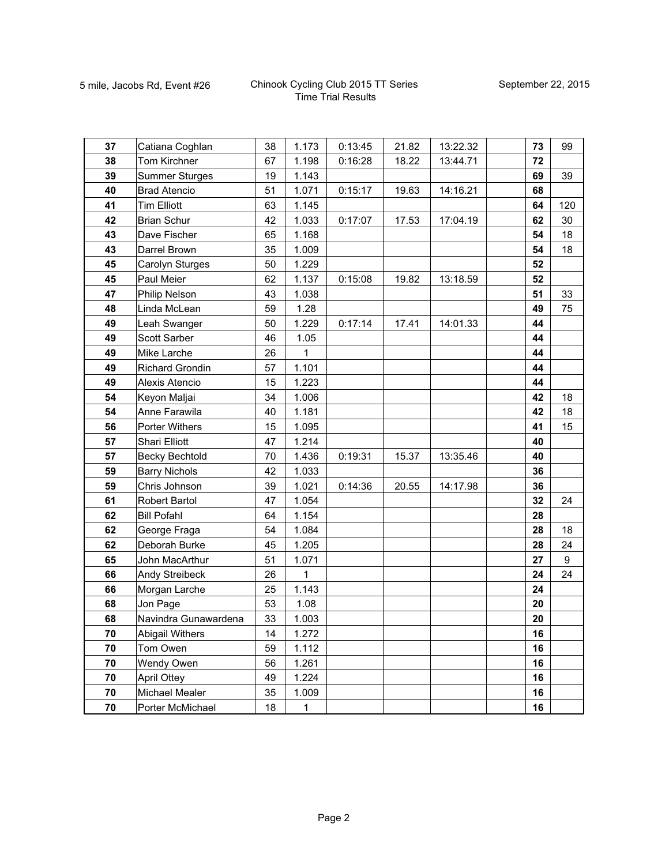| 37 | Catiana Coghlan        | 38 | 1.173        | 0:13:45 | 21.82 | 13:22.32 | 73 | 99  |
|----|------------------------|----|--------------|---------|-------|----------|----|-----|
| 38 | Tom Kirchner           | 67 | 1.198        | 0:16:28 | 18.22 | 13:44.71 | 72 |     |
| 39 | <b>Summer Sturges</b>  | 19 | 1.143        |         |       |          | 69 | 39  |
| 40 | <b>Brad Atencio</b>    | 51 | 1.071        | 0:15:17 | 19.63 | 14:16.21 | 68 |     |
| 41 | <b>Tim Elliott</b>     | 63 | 1.145        |         |       |          | 64 | 120 |
| 42 | <b>Brian Schur</b>     | 42 | 1.033        | 0:17:07 | 17.53 | 17:04.19 | 62 | 30  |
| 43 | Dave Fischer           | 65 | 1.168        |         |       |          | 54 | 18  |
| 43 | Darrel Brown           | 35 | 1.009        |         |       |          | 54 | 18  |
| 45 | Carolyn Sturges        | 50 | 1.229        |         |       |          | 52 |     |
| 45 | Paul Meier             | 62 | 1.137        | 0:15:08 | 19.82 | 13:18.59 | 52 |     |
| 47 | Philip Nelson          | 43 | 1.038        |         |       |          | 51 | 33  |
| 48 | Linda McLean           | 59 | 1.28         |         |       |          | 49 | 75  |
| 49 | Leah Swanger           | 50 | 1.229        | 0:17:14 | 17.41 | 14:01.33 | 44 |     |
| 49 | Scott Sarber           | 46 | 1.05         |         |       |          | 44 |     |
| 49 | Mike Larche            | 26 | 1            |         |       |          | 44 |     |
| 49 | Richard Grondin        | 57 | 1.101        |         |       |          | 44 |     |
| 49 | Alexis Atencio         | 15 | 1.223        |         |       |          | 44 |     |
| 54 | Keyon Maljai           | 34 | 1.006        |         |       |          | 42 | 18  |
| 54 | Anne Farawila          | 40 | 1.181        |         |       |          | 42 | 18  |
| 56 | <b>Porter Withers</b>  | 15 | 1.095        |         |       |          | 41 | 15  |
| 57 | <b>Shari Elliott</b>   | 47 | 1.214        |         |       |          | 40 |     |
| 57 | <b>Becky Bechtold</b>  | 70 | 1.436        | 0:19:31 | 15.37 | 13:35.46 | 40 |     |
| 59 | <b>Barry Nichols</b>   | 42 | 1.033        |         |       |          | 36 |     |
| 59 | Chris Johnson          | 39 | 1.021        | 0:14:36 | 20.55 | 14:17.98 | 36 |     |
| 61 | Robert Bartol          | 47 | 1.054        |         |       |          | 32 | 24  |
| 62 | <b>Bill Pofahl</b>     | 64 | 1.154        |         |       |          | 28 |     |
| 62 | George Fraga           | 54 | 1.084        |         |       |          | 28 | 18  |
| 62 | Deborah Burke          | 45 | 1.205        |         |       |          | 28 | 24  |
| 65 | John MacArthur         | 51 | 1.071        |         |       |          | 27 | 9   |
| 66 | Andy Streibeck         | 26 | $\mathbf{1}$ |         |       |          | 24 | 24  |
| 66 | Morgan Larche          | 25 | 1.143        |         |       |          | 24 |     |
| 68 | Jon Page               | 53 | 1.08         |         |       |          | 20 |     |
| 68 | Navindra Gunawardena   | 33 | 1.003        |         |       |          | 20 |     |
| 70 | <b>Abigail Withers</b> | 14 | 1.272        |         |       |          | 16 |     |
| 70 | Tom Owen               | 59 | 1.112        |         |       |          | 16 |     |
| 70 | Wendy Owen             | 56 | 1.261        |         |       |          | 16 |     |
| 70 | <b>April Ottey</b>     | 49 | 1.224        |         |       |          | 16 |     |
| 70 | <b>Michael Mealer</b>  | 35 | 1.009        |         |       |          | 16 |     |
| 70 | Porter McMichael       | 18 | $\mathbf 1$  |         |       |          | 16 |     |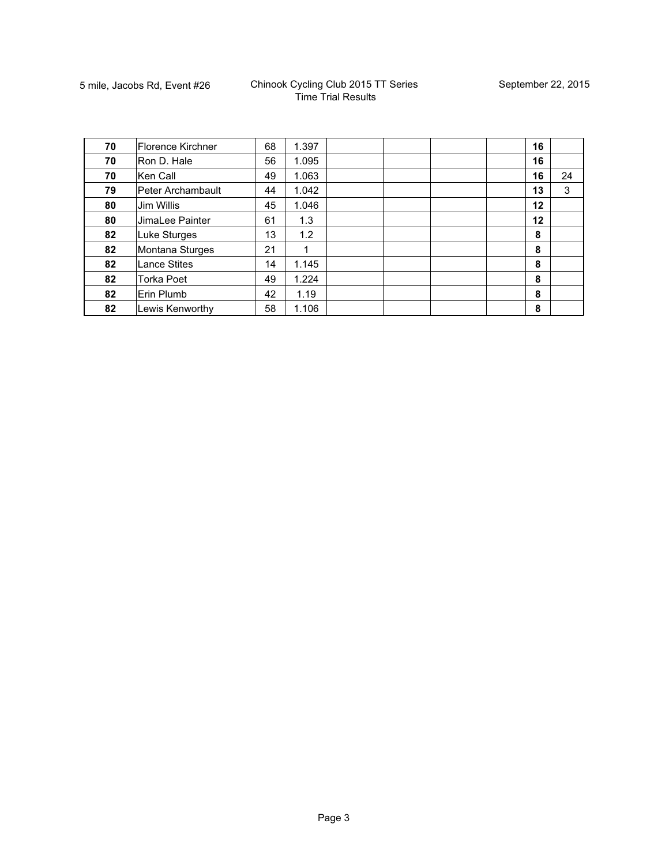| 70 | <b>Florence Kirchner</b> | 68 | 1.397 |  | 16 |    |
|----|--------------------------|----|-------|--|----|----|
| 70 | Ron D. Hale              | 56 | 1.095 |  | 16 |    |
| 70 | Ken Call                 | 49 | 1.063 |  | 16 | 24 |
| 79 | Peter Archambault        | 44 | 1.042 |  | 13 | 3  |
| 80 | Jim Willis               | 45 | 1.046 |  | 12 |    |
| 80 | JimaLee Painter          | 61 | 1.3   |  | 12 |    |
| 82 | Luke Sturges             | 13 | 1.2   |  | 8  |    |
| 82 | Montana Sturges          | 21 | 1     |  | 8  |    |
| 82 | <b>Lance Stites</b>      | 14 | 1.145 |  | 8  |    |
| 82 | <b>Torka Poet</b>        | 49 | 1.224 |  | 8  |    |
| 82 | Erin Plumb               | 42 | 1.19  |  | 8  |    |
| 82 | Lewis Kenworthy          | 58 | 1.106 |  | 8  |    |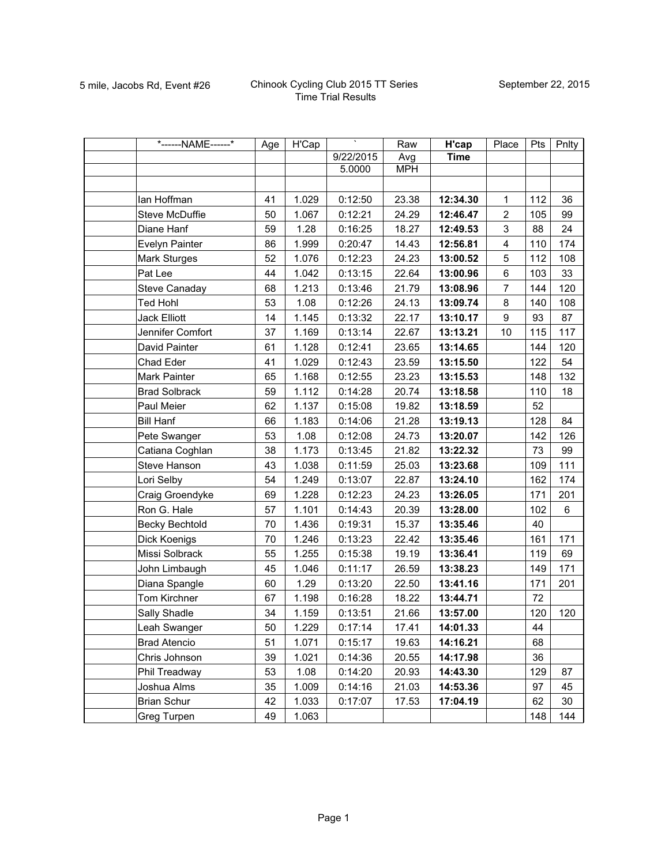| *------NAME------*   | Age | H'Cap | ٠         | Raw        | H'cap       | Place                   | Pts | Pnlty |
|----------------------|-----|-------|-----------|------------|-------------|-------------------------|-----|-------|
|                      |     |       | 9/22/2015 | Avg        | <b>Time</b> |                         |     |       |
|                      |     |       | 5.0000    | <b>MPH</b> |             |                         |     |       |
|                      |     |       |           |            |             |                         |     |       |
| lan Hoffman          | 41  | 1.029 | 0:12:50   | 23.38      | 12:34.30    | 1                       | 112 | 36    |
| Steve McDuffie       | 50  | 1.067 | 0:12:21   | 24.29      | 12:46.47    | $\overline{c}$          | 105 | 99    |
| Diane Hanf           | 59  | 1.28  | 0:16:25   | 18.27      | 12:49.53    | 3                       | 88  | 24    |
| Evelyn Painter       | 86  | 1.999 | 0:20:47   | 14.43      | 12:56.81    | $\overline{\mathbf{4}}$ | 110 | 174   |
| Mark Sturges         | 52  | 1.076 | 0:12:23   | 24.23      | 13:00.52    | 5                       | 112 | 108   |
| Pat Lee              | 44  | 1.042 | 0:13:15   | 22.64      | 13:00.96    | 6                       | 103 | 33    |
| <b>Steve Canaday</b> | 68  | 1.213 | 0:13:46   | 21.79      | 13:08.96    | $\overline{7}$          | 144 | 120   |
| <b>Ted Hohl</b>      | 53  | 1.08  | 0:12:26   | 24.13      | 13:09.74    | 8                       | 140 | 108   |
| <b>Jack Elliott</b>  | 14  | 1.145 | 0:13:32   | 22.17      | 13:10.17    | 9                       | 93  | 87    |
| Jennifer Comfort     | 37  | 1.169 | 0:13:14   | 22.67      | 13:13.21    | 10                      | 115 | 117   |
| David Painter        | 61  | 1.128 | 0:12:41   | 23.65      | 13:14.65    |                         | 144 | 120   |
| Chad Eder            | 41  | 1.029 | 0:12:43   | 23.59      | 13:15.50    |                         | 122 | 54    |
| Mark Painter         | 65  | 1.168 | 0:12:55   | 23.23      | 13:15.53    |                         | 148 | 132   |
| <b>Brad Solbrack</b> | 59  | 1.112 | 0:14:28   | 20.74      | 13:18.58    |                         | 110 | 18    |
| Paul Meier           | 62  | 1.137 | 0:15:08   | 19.82      | 13:18.59    |                         | 52  |       |
| <b>Bill Hanf</b>     | 66  | 1.183 | 0:14:06   | 21.28      | 13:19.13    |                         | 128 | 84    |
| Pete Swanger         | 53  | 1.08  | 0:12:08   | 24.73      | 13:20.07    |                         | 142 | 126   |
| Catiana Coghlan      | 38  | 1.173 | 0:13:45   | 21.82      | 13:22.32    |                         | 73  | 99    |
| Steve Hanson         | 43  | 1.038 | 0:11:59   | 25.03      | 13:23.68    |                         | 109 | 111   |
| Lori Selby           | 54  | 1.249 | 0:13:07   | 22.87      | 13:24.10    |                         | 162 | 174   |
| Craig Groendyke      | 69  | 1.228 | 0:12:23   | 24.23      | 13:26.05    |                         | 171 | 201   |
| Ron G. Hale          | 57  | 1.101 | 0:14:43   | 20.39      | 13:28.00    |                         | 102 | 6     |
| Becky Bechtold       | 70  | 1.436 | 0:19:31   | 15.37      | 13:35.46    |                         | 40  |       |
| Dick Koenigs         | 70  | 1.246 | 0:13:23   | 22.42      | 13:35.46    |                         | 161 | 171   |
| Missi Solbrack       | 55  | 1.255 | 0:15:38   | 19.19      | 13:36.41    |                         | 119 | 69    |
| John Limbaugh        | 45  | 1.046 | 0:11:17   | 26.59      | 13:38.23    |                         | 149 | 171   |
| Diana Spangle        | 60  | 1.29  | 0:13:20   | 22.50      | 13:41.16    |                         | 171 | 201   |
| Tom Kirchner         | 67  | 1.198 | 0:16:28   | 18.22      | 13:44.71    |                         | 72  |       |
| Sally Shadle         | 34  | 1.159 | 0:13:51   | 21.66      | 13:57.00    |                         | 120 | 120   |
| Leah Swanger         | 50  | 1.229 | 0:17:14   | 17.41      | 14:01.33    |                         | 44  |       |
| <b>Brad Atencio</b>  | 51  | 1.071 | 0:15:17   | 19.63      | 14:16.21    |                         | 68  |       |
| Chris Johnson        | 39  | 1.021 | 0:14:36   | 20.55      | 14:17.98    |                         | 36  |       |
| Phil Treadway        | 53  | 1.08  | 0:14:20   | 20.93      | 14:43.30    |                         | 129 | 87    |
| Joshua Alms          | 35  | 1.009 | 0:14:16   | 21.03      | 14:53.36    |                         | 97  | 45    |
| <b>Brian Schur</b>   | 42  | 1.033 | 0:17:07   | 17.53      | 17:04.19    |                         | 62  | 30    |
| Greg Turpen          | 49  | 1.063 |           |            |             |                         | 148 | 144   |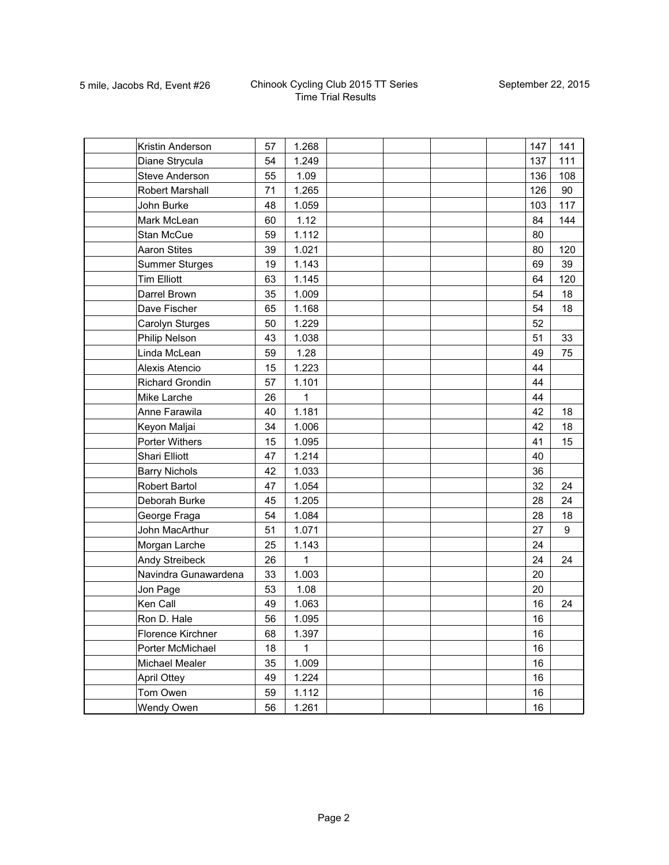| Kristin Anderson       | 57 | 1.268 |  |  | 147 | 141              |
|------------------------|----|-------|--|--|-----|------------------|
| Diane Strycula         | 54 | 1.249 |  |  | 137 | 111              |
| Steve Anderson         | 55 | 1.09  |  |  | 136 | 108              |
| <b>Robert Marshall</b> | 71 | 1.265 |  |  | 126 | 90               |
| John Burke             | 48 | 1.059 |  |  | 103 | 117              |
| Mark McLean            | 60 | 1.12  |  |  | 84  | 144              |
| Stan McCue             | 59 | 1.112 |  |  | 80  |                  |
| <b>Aaron Stites</b>    | 39 | 1.021 |  |  | 80  | 120              |
| <b>Summer Sturges</b>  | 19 | 1.143 |  |  | 69  | 39               |
| <b>Tim Elliott</b>     | 63 | 1.145 |  |  | 64  | 120              |
| Darrel Brown           | 35 | 1.009 |  |  | 54  | 18               |
| Dave Fischer           | 65 | 1.168 |  |  | 54  | 18               |
| Carolyn Sturges        | 50 | 1.229 |  |  | 52  |                  |
| Philip Nelson          | 43 | 1.038 |  |  | 51  | 33               |
| Linda McLean           | 59 | 1.28  |  |  | 49  | 75               |
| Alexis Atencio         | 15 | 1.223 |  |  | 44  |                  |
| <b>Richard Grondin</b> | 57 | 1.101 |  |  | 44  |                  |
| Mike Larche            | 26 | 1     |  |  | 44  |                  |
| Anne Farawila          | 40 | 1.181 |  |  | 42  | 18               |
| Keyon Maljai           | 34 | 1.006 |  |  | 42  | 18               |
| Porter Withers         | 15 | 1.095 |  |  | 41  | 15               |
| <b>Shari Elliott</b>   | 47 | 1.214 |  |  | 40  |                  |
| <b>Barry Nichols</b>   | 42 | 1.033 |  |  | 36  |                  |
| Robert Bartol          | 47 | 1.054 |  |  | 32  | 24               |
| Deborah Burke          | 45 | 1.205 |  |  | 28  | 24               |
| George Fraga           | 54 | 1.084 |  |  | 28  | 18               |
| John MacArthur         | 51 | 1.071 |  |  | 27  | $\boldsymbol{9}$ |
| Morgan Larche          | 25 | 1.143 |  |  | 24  |                  |
| Andy Streibeck         | 26 | 1     |  |  | 24  | 24               |
| Navindra Gunawardena   | 33 | 1.003 |  |  | 20  |                  |
| Jon Page               | 53 | 1.08  |  |  | 20  |                  |
| Ken Call               | 49 | 1.063 |  |  | 16  | 24               |
| Ron D. Hale            | 56 | 1.095 |  |  | 16  |                  |
| Florence Kirchner      | 68 | 1.397 |  |  | 16  |                  |
| Porter McMichael       | 18 | 1     |  |  | 16  |                  |
| Michael Mealer         | 35 | 1.009 |  |  | 16  |                  |
| <b>April Ottey</b>     | 49 | 1.224 |  |  | 16  |                  |
| Tom Owen               | 59 | 1.112 |  |  | 16  |                  |
| Wendy Owen             | 56 | 1.261 |  |  | 16  |                  |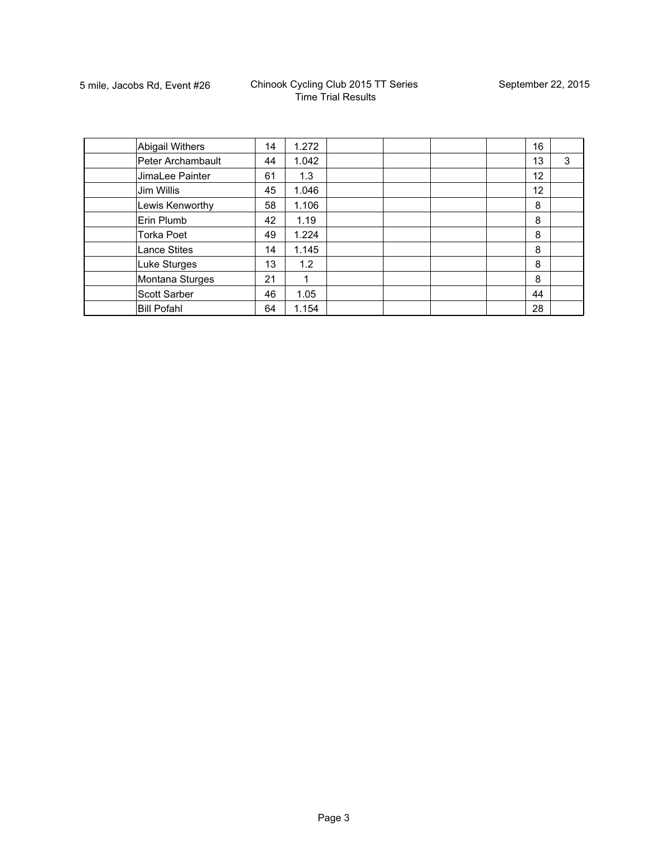| <b>Abigail Withers</b> | 14 | 1.272 |  | 16 |   |
|------------------------|----|-------|--|----|---|
| Peter Archambault      | 44 | 1.042 |  | 13 | 3 |
| JimaLee Painter        | 61 | 1.3   |  | 12 |   |
| Jim Willis             | 45 | 1.046 |  | 12 |   |
| Lewis Kenworthy        | 58 | 1.106 |  | 8  |   |
| Erin Plumb             | 42 | 1.19  |  | 8  |   |
| <b>Torka Poet</b>      | 49 | 1.224 |  | 8  |   |
| <b>Lance Stites</b>    | 14 | 1.145 |  | 8  |   |
| Luke Sturges           | 13 | 1.2   |  | 8  |   |
| Montana Sturges        | 21 |       |  | 8  |   |
| Scott Sarber           | 46 | 1.05  |  | 44 |   |
| <b>Bill Pofahl</b>     | 64 | 1.154 |  | 28 |   |